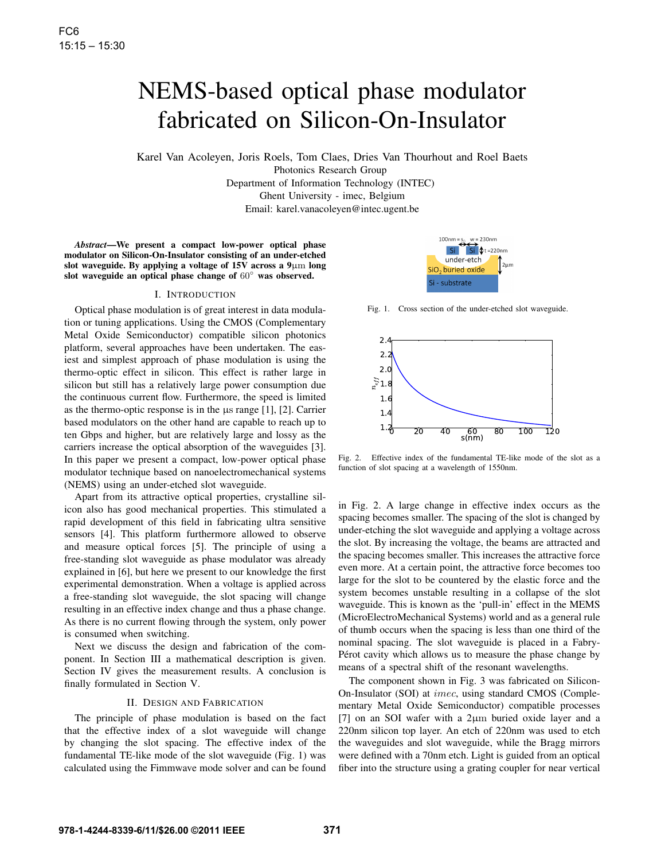# NEMS-based optical phase modulator fabricated on Silicon-On-Insulator

Karel Van Acoleyen, Joris Roels, Tom Claes, Dries Van Thourhout and Roel Baets Photonics Research Group Department of Information Technology (INTEC)

Ghent University - imec, Belgium

Email: karel.vanacoleyen@intec.ugent.be

*Abstract*—We present a compact low-power optical phase modulator on Silicon-On-Insulator consisting of an under-etched slot waveguide. By applying a voltage of  $15V$  across a  $9\mu m$  long slot waveguide an optical phase change of 60◦ was observed.

## I. INTRODUCTION

Optical phase modulation is of great interest in data modulation or tuning applications. Using the CMOS (Complementary Metal Oxide Semiconductor) compatible silicon photonics platform, several approaches have been undertaken. The easiest and simplest approach of phase modulation is using the thermo-optic effect in silicon. This effect is rather large in silicon but still has a relatively large power consumption due the continuous current flow. Furthermore, the speed is limited as the thermo-optic response is in the µs range [1], [2]. Carrier based modulators on the other hand are capable to reach up to ten Gbps and higher, but are relatively large and lossy as the carriers increase the optical absorption of the waveguides [3]. In this paper we present a compact, low-power optical phase modulator technique based on nanoelectromechanical systems (NEMS) using an under-etched slot waveguide.

Apart from its attractive optical properties, crystalline silicon also has good mechanical properties. This stimulated a rapid development of this field in fabricating ultra sensitive sensors [4]. This platform furthermore allowed to observe and measure optical forces [5]. The principle of using a free-standing slot waveguide as phase modulator was already explained in [6], but here we present to our knowledge the first experimental demonstration. When a voltage is applied across a free-standing slot waveguide, the slot spacing will change resulting in an effective index change and thus a phase change. As there is no current flowing through the system, only power is consumed when switching.

Next we discuss the design and fabrication of the component. In Section III a mathematical description is given. Section IV gives the measurement results. A conclusion is finally formulated in Section V.

### II. DESIGN AND FABRICATION

The principle of phase modulation is based on the fact that the effective index of a slot waveguide will change by changing the slot spacing. The effective index of the fundamental TE-like mode of the slot waveguide (Fig. 1) was calculated using the Fimmwave mode solver and can be found



Fig. 1. Cross section of the under-etched slot waveguide.



Fig. 2. Effective index of the fundamental TE-like mode of the slot as a function of slot spacing at a wavelength of 1550nm.

in Fig. 2. A large change in effective index occurs as the spacing becomes smaller. The spacing of the slot is changed by under-etching the slot waveguide and applying a voltage across the slot. By increasing the voltage, the beams are attracted and the spacing becomes smaller. This increases the attractive force even more. At a certain point, the attractive force becomes too large for the slot to be countered by the elastic force and the system becomes unstable resulting in a collapse of the slot waveguide. This is known as the 'pull-in' effect in the MEMS (MicroElectroMechanical Systems) world and as a general rule of thumb occurs when the spacing is less than one third of the nominal spacing. The slot waveguide is placed in a Fabry-Pérot cavity which allows us to measure the phase change by means of a spectral shift of the resonant wavelengths.

The component shown in Fig. 3 was fabricated on Silicon-On-Insulator (SOI) at imec, using standard CMOS (Complementary Metal Oxide Semiconductor) compatible processes [7] on an SOI wafer with a 2µm buried oxide layer and a 220nm silicon top layer. An etch of 220nm was used to etch the waveguides and slot waveguide, while the Bragg mirrors were defined with a 70nm etch. Light is guided from an optical fiber into the structure using a grating coupler for near vertical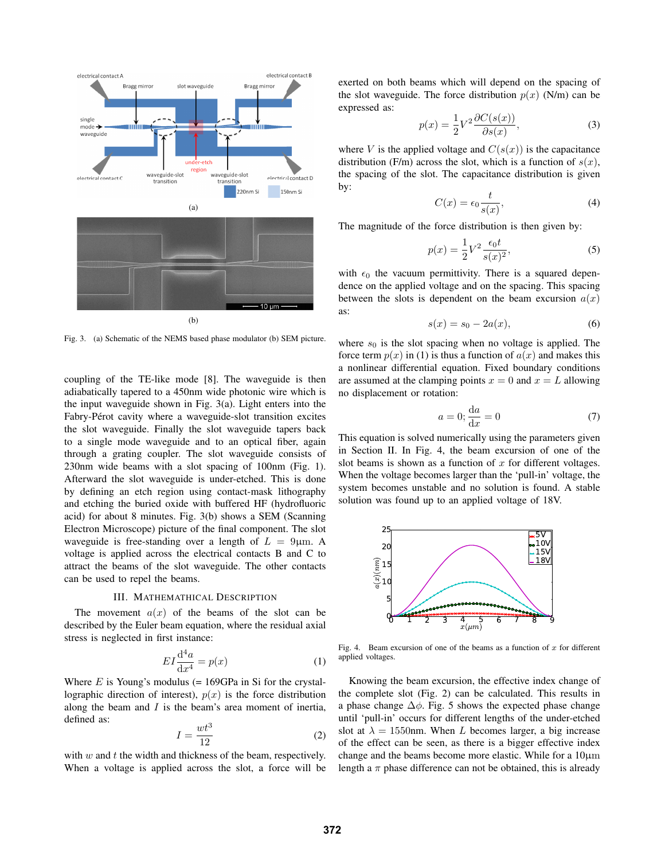

Fig. 3. (a) Schematic of the NEMS based phase modulator (b) SEM picture.

coupling of the TE-like mode [8]. The waveguide is then adiabatically tapered to a 450nm wide photonic wire which is the input waveguide shown in Fig. 3(a). Light enters into the Fabry-Pérot cavity where a waveguide-slot transition excites the slot waveguide. Finally the slot waveguide tapers back to a single mode waveguide and to an optical fiber, again through a grating coupler. The slot waveguide consists of 230nm wide beams with a slot spacing of 100nm (Fig. 1). Afterward the slot waveguide is under-etched. This is done by defining an etch region using contact-mask lithography and etching the buried oxide with buffered HF (hydrofluoric acid) for about 8 minutes. Fig. 3(b) shows a SEM (Scanning Electron Microscope) picture of the final component. The slot waveguide is free-standing over a length of  $L = 9 \mu m$ . A voltage is applied across the electrical contacts B and C to attract the beams of the slot waveguide. The other contacts can be used to repel the beams.

# III. MATHEMATHICAL DESCRIPTION

The movement  $a(x)$  of the beams of the slot can be described by the Euler beam equation, where the residual axial stress is neglected in first instance:

$$
EI\frac{\mathrm{d}^4a}{\mathrm{d}x^4} = p(x) \tag{1}
$$

Where  $E$  is Young's modulus (= 169GPa in Si for the crystallographic direction of interest),  $p(x)$  is the force distribution along the beam and  $I$  is the beam's area moment of inertia, defined as:

$$
I = \frac{wt^3}{12} \tag{2}
$$

with  $w$  and  $t$  the width and thickness of the beam, respectively. When a voltage is applied across the slot, a force will be

exerted on both beams which will depend on the spacing of the slot waveguide. The force distribution  $p(x)$  (N/m) can be expressed as:

$$
p(x) = \frac{1}{2}V^2 \frac{\partial C(s(x))}{\partial s(x)},
$$
\n(3)

where V is the applied voltage and  $C(s(x))$  is the capacitance distribution (F/m) across the slot, which is a function of  $s(x)$ , the spacing of the slot. The capacitance distribution is given by:

$$
C(x) = \epsilon_0 \frac{t}{s(x)},\tag{4}
$$

The magnitude of the force distribution is then given by:

$$
p(x) = \frac{1}{2}V^2 \frac{\epsilon_0 t}{s(x)^2},
$$
\n(5)

with  $\epsilon_0$  the vacuum permittivity. There is a squared dependence on the applied voltage and on the spacing. This spacing between the slots is dependent on the beam excursion  $a(x)$ as:

$$
s(x) = s_0 - 2a(x),
$$
 (6)

where  $s_0$  is the slot spacing when no voltage is applied. The force term  $p(x)$  in (1) is thus a function of  $a(x)$  and makes this a nonlinear differential equation. Fixed boundary conditions are assumed at the clamping points  $x = 0$  and  $x = L$  allowing no displacement or rotation:

$$
a = 0; \frac{\mathrm{d}a}{\mathrm{d}x} = 0 \tag{7}
$$

This equation is solved numerically using the parameters given in Section II. In Fig. 4, the beam excursion of one of the slot beams is shown as a function of  $x$  for different voltages. When the voltage becomes larger than the 'pull-in' voltage, the system becomes unstable and no solution is found. A stable solution was found up to an applied voltage of 18V.



Fig. 4. Beam excursion of one of the beams as a function of  $x$  for different applied voltages.

Knowing the beam excursion, the effective index change of the complete slot (Fig. 2) can be calculated. This results in a phase change  $\Delta \phi$ . Fig. 5 shows the expected phase change until 'pull-in' occurs for different lengths of the under-etched slot at  $\lambda = 1550$ nm. When L becomes larger, a big increase of the effect can be seen, as there is a bigger effective index change and the beams become more elastic. While for a  $10 \mu m$ length a  $\pi$  phase difference can not be obtained, this is already